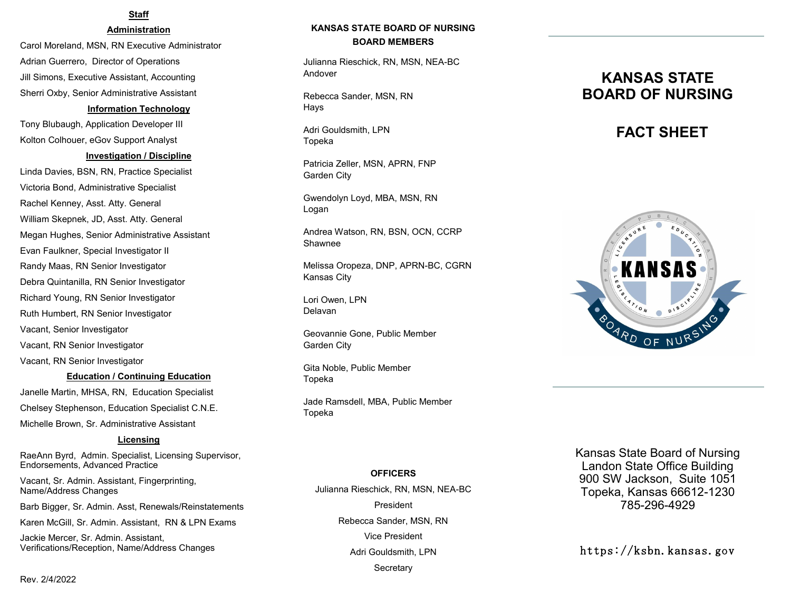# **Staff**

# **Administration**

Carol Moreland, MSN, RN Executive Administrator Adrian Guerrero, Director of Operations Jill Simons, Executive Assistant, Accounting Sherri Oxby, Senior Administrative Assistant

#### **Information Technology**

Tony Blubaugh, Application Developer III Kolton Colhouer, eGov Support Analyst

# **Investigation / Discipline**

Linda Davies, BSN, RN, Practice Specialist Victoria Bond, Administrative Specialist Rachel Kenney, Asst. Atty. General William Skepnek, JD, Asst. Atty. General Megan Hughes, Senior Administrative Assistant Evan Faulkner, Special Investigator II Randy Maas, RN Senior Investigator Debra Quintanilla, RN Senior Investigator Richard Young, RN Senior Investigator Ruth Humbert, RN Senior Investigator Vacant, Senior Investigator Vacant, RN Senior Investigator Vacant, RN Senior Investigator

## **Education / Continuing Education**

Janelle Martin, MHSA, RN, Education Specialist Chelsey Stephenson, Education Specialist C.N.E. Michelle Brown, Sr. Administrative Assistant

# **Licensing**

RaeAnn Byrd, Admin. Specialist, Licensing Supervisor, Endorsements, Advanced Practice

Vacant, Sr. Admin. Assistant, Fingerprinting, Name/Address Changes

Barb Bigger, Sr. Admin. Asst, Renewals/Reinstatements

Karen McGill, Sr. Admin. Assistant, RN & LPN Exams

Jackie Mercer, Sr. Admin. Assistant, Verifications/Reception, Name/Address Changes

# **KANSAS STATE BOARD OF NURSING BOARD MEMBERS**

Julianna Rieschick, RN, MSN, NEA-BC Andover

Rebecca Sander, MSN, RN Hays

Adri Gouldsmith, LPN Topeka

Patricia Zeller, MSN, APRN, FNP Garden City

Gwendolyn Loyd, MBA, MSN, RN Logan

Andrea Watson, RN, BSN, OCN, CCRP Shawnee

Melissa Oropeza, DNP, APRN-BC, CGRN Kansas City

Lori Owen, LPN Delavan

Geovannie Gone, Public Member Garden City

Gita Noble, Public Member Topeka

Jade Ramsdell, MBA, Public Member Topeka

# **OFFICERS**

Julianna Rieschick, RN, MSN, NEA-BC

President

Rebecca Sander, MSN, RN Vice President

Adri Gouldsmith, LPN

#### **Secretary**

# **KANSAS STATE BOARD OF NURSING**

# **FACT SHEET**



Kansas State Board of Nursing Landon State Office Building 900 SW Jackson, Suite 1051 Topeka, Kansas 66612-1230 785-296-4929

https://ksbn.kansas.gov